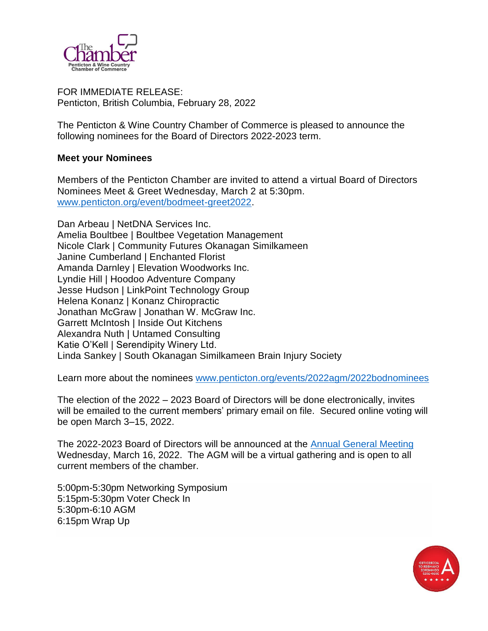

FOR IMMEDIATE RELEASE: Penticton, British Columbia, February 28, 2022

The Penticton & Wine Country Chamber of Commerce is pleased to announce the following nominees for the Board of Directors 2022-2023 term.

## **Meet your Nominees**

Members of the Penticton Chamber are invited to attend a virtual Board of Directors Nominees Meet & Greet Wednesday, March 2 at 5:30pm. [www.penticton.org/event/bodmeet-greet2022.](http://www.penticton.org/event/bodmeet-greet2022)

Dan Arbeau | NetDNA Services Inc. Amelia Boultbee | Boultbee Vegetation Management Nicole Clark | Community Futures Okanagan Similkameen Janine Cumberland | Enchanted Florist Amanda Darnley | Elevation Woodworks Inc. Lyndie Hill | Hoodoo Adventure Company Jesse Hudson | LinkPoint Technology Group Helena Konanz | Konanz Chiropractic Jonathan McGraw | Jonathan W. McGraw Inc. Garrett McIntosh | Inside Out Kitchens Alexandra Nuth | Untamed Consulting Katie O'Kell | Serendipity Winery Ltd. Linda Sankey | South Okanagan Similkameen Brain Injury Society

Learn more about the nominees [www.penticton.org/events/2022agm/2022bodnominees](http://www.penticton.org/events/2022agm/2022bodnominees)

The election of the 2022 – 2023 Board of Directors will be done electronically, invites will be emailed to the current members' primary email on file. Secured online voting will be open March 3–15, 2022.

The 2022-2023 Board of Directors will be announced at the [Annual General Meeting](https://www.penticton.org/events/2022agm/) Wednesday, March 16, 2022. The AGM will be a virtual gathering and is open to all current members of the chamber.

5:00pm-5:30pm Networking Symposium 5:15pm-5:30pm Voter Check In 5:30pm-6:10 AGM 6:15pm Wrap Up